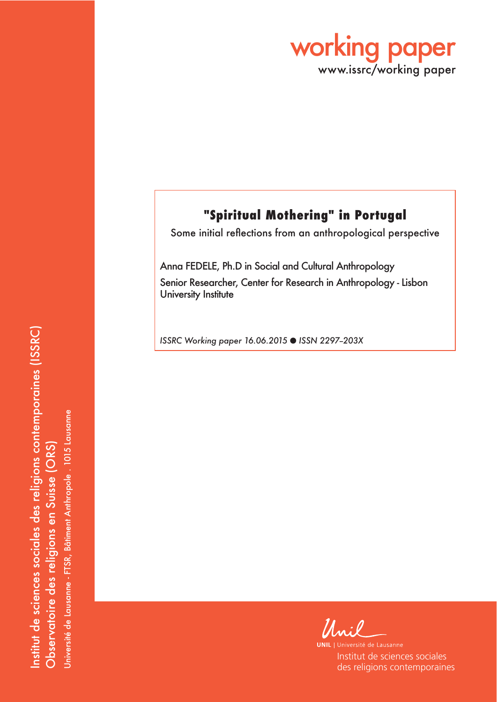

# **"Spiritual Mothering" in Portugal**

Some initial reflections from an anthropological perspective

Anna FEDELE, Ph.D in Social and Cultural Anthropology Senior Researcher, Center for Research in Anthropology - Lisbon University Institute

*ISSRC Working paper 16.06.2015* O *ISSN 2297--203X*

Unil

**UNIL** | Université de Lausanne Institut de sciences sociales des religions contemporaines

nstitut de sciences sociales des religions contemporaines (ISSRC) Institut de sciences sociales des religions contemporaines (ISSRC) Université de Lausanne - FTSR, Bâtiment Anthropole . 1015 Lausanne Université de Lausanne - FTSR, Bâtiment Anthropole . 1015 Lausanne Observatoire des religions en Suisse (ORS) Observatoire des religions en Suisse (ORS)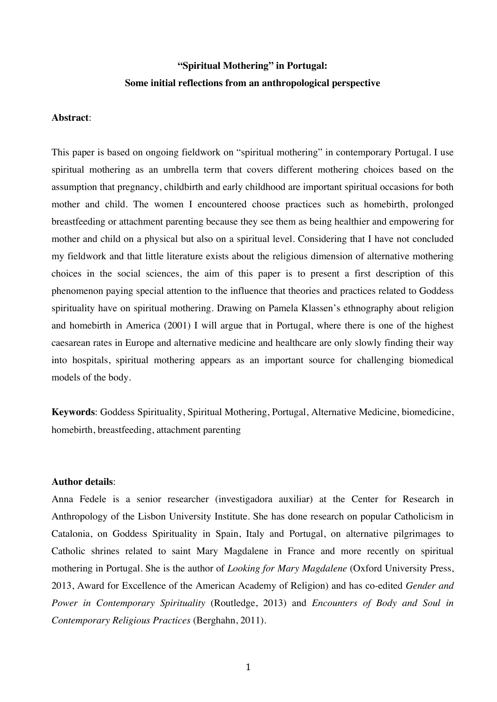## **"Spiritual Mothering" in Portugal: Some initial reflections from an anthropological perspective**

#### **Abstract**:

This paper is based on ongoing fieldwork on "spiritual mothering" in contemporary Portugal. I use spiritual mothering as an umbrella term that covers different mothering choices based on the assumption that pregnancy, childbirth and early childhood are important spiritual occasions for both mother and child. The women I encountered choose practices such as homebirth, prolonged breastfeeding or attachment parenting because they see them as being healthier and empowering for mother and child on a physical but also on a spiritual level. Considering that I have not concluded my fieldwork and that little literature exists about the religious dimension of alternative mothering choices in the social sciences, the aim of this paper is to present a first description of this phenomenon paying special attention to the influence that theories and practices related to Goddess spirituality have on spiritual mothering. Drawing on Pamela Klassen's ethnography about religion and homebirth in America (2001) I will argue that in Portugal, where there is one of the highest caesarean rates in Europe and alternative medicine and healthcare are only slowly finding their way into hospitals, spiritual mothering appears as an important source for challenging biomedical models of the body.

**Keywords**: Goddess Spirituality, Spiritual Mothering, Portugal, Alternative Medicine, biomedicine, homebirth, breastfeeding, attachment parenting

#### **Author details**:

Anna Fedele is a senior researcher (investigadora auxiliar) at the Center for Research in Anthropology of the Lisbon University Institute. She has done research on popular Catholicism in Catalonia, on Goddess Spirituality in Spain, Italy and Portugal, on alternative pilgrimages to Catholic shrines related to saint Mary Magdalene in France and more recently on spiritual mothering in Portugal. She is the author of *Looking for Mary Magdalene* (Oxford University Press, 2013, Award for Excellence of the American Academy of Religion) and has co-edited *Gender and Power in Contemporary Spirituality* (Routledge, 2013) and *Encounters of Body and Soul in Contemporary Religious Practices* (Berghahn, 2011).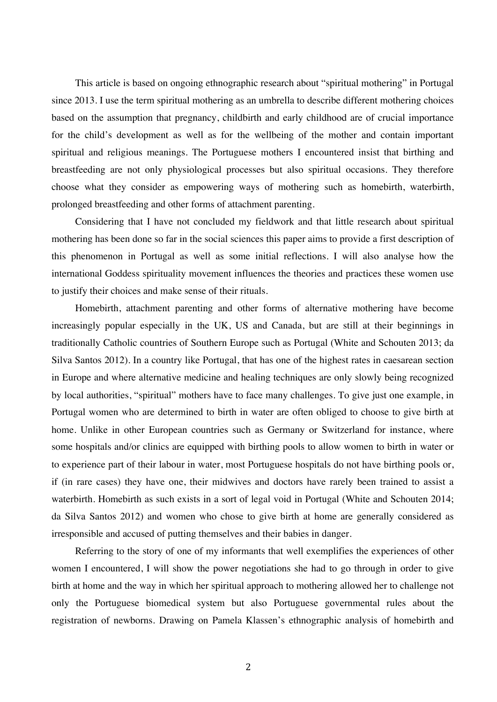This article is based on ongoing ethnographic research about "spiritual mothering" in Portugal since 2013. I use the term spiritual mothering as an umbrella to describe different mothering choices based on the assumption that pregnancy, childbirth and early childhood are of crucial importance for the child's development as well as for the wellbeing of the mother and contain important spiritual and religious meanings. The Portuguese mothers I encountered insist that birthing and breastfeeding are not only physiological processes but also spiritual occasions. They therefore choose what they consider as empowering ways of mothering such as homebirth, waterbirth, prolonged breastfeeding and other forms of attachment parenting.

Considering that I have not concluded my fieldwork and that little research about spiritual mothering has been done so far in the social sciences this paper aims to provide a first description of this phenomenon in Portugal as well as some initial reflections. I will also analyse how the international Goddess spirituality movement influences the theories and practices these women use to justify their choices and make sense of their rituals.

Homebirth, attachment parenting and other forms of alternative mothering have become increasingly popular especially in the UK, US and Canada, but are still at their beginnings in traditionally Catholic countries of Southern Europe such as Portugal (White and Schouten 2013; da Silva Santos 2012). In a country like Portugal, that has one of the highest rates in caesarean section in Europe and where alternative medicine and healing techniques are only slowly being recognized by local authorities, "spiritual" mothers have to face many challenges. To give just one example, in Portugal women who are determined to birth in water are often obliged to choose to give birth at home. Unlike in other European countries such as Germany or Switzerland for instance, where some hospitals and/or clinics are equipped with birthing pools to allow women to birth in water or to experience part of their labour in water, most Portuguese hospitals do not have birthing pools or, if (in rare cases) they have one, their midwives and doctors have rarely been trained to assist a waterbirth. Homebirth as such exists in a sort of legal void in Portugal (White and Schouten 2014; da Silva Santos 2012) and women who chose to give birth at home are generally considered as irresponsible and accused of putting themselves and their babies in danger.

Referring to the story of one of my informants that well exemplifies the experiences of other women I encountered, I will show the power negotiations she had to go through in order to give birth at home and the way in which her spiritual approach to mothering allowed her to challenge not only the Portuguese biomedical system but also Portuguese governmental rules about the registration of newborns. Drawing on Pamela Klassen's ethnographic analysis of homebirth and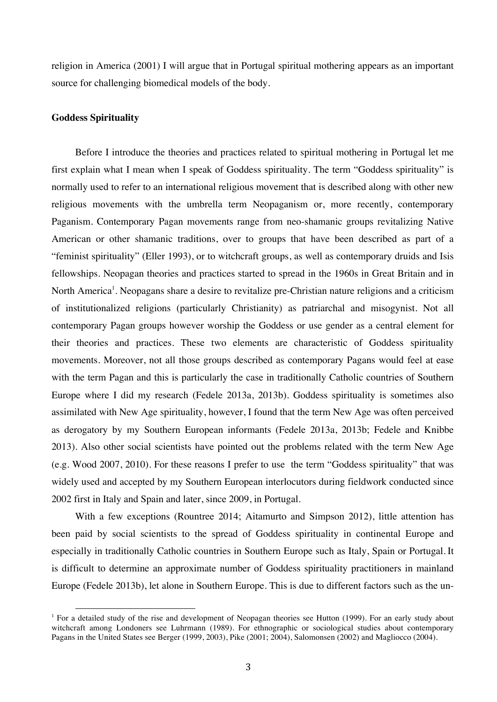religion in America (2001) I will argue that in Portugal spiritual mothering appears as an important source for challenging biomedical models of the body.

#### **Goddess Spirituality**

Before I introduce the theories and practices related to spiritual mothering in Portugal let me first explain what I mean when I speak of Goddess spirituality. The term "Goddess spirituality" is normally used to refer to an international religious movement that is described along with other new religious movements with the umbrella term Neopaganism or, more recently, contemporary Paganism. Contemporary Pagan movements range from neo-shamanic groups revitalizing Native American or other shamanic traditions, over to groups that have been described as part of a "feminist spirituality" (Eller 1993), or to witchcraft groups, as well as contemporary druids and Isis fellowships. Neopagan theories and practices started to spread in the 1960s in Great Britain and in North America<sup>1</sup>. Neopagans share a desire to revitalize pre-Christian nature religions and a criticism of institutionalized religions (particularly Christianity) as patriarchal and misogynist. Not all contemporary Pagan groups however worship the Goddess or use gender as a central element for their theories and practices. These two elements are characteristic of Goddess spirituality movements. Moreover, not all those groups described as contemporary Pagans would feel at ease with the term Pagan and this is particularly the case in traditionally Catholic countries of Southern Europe where I did my research (Fedele 2013a, 2013b). Goddess spirituality is sometimes also assimilated with New Age spirituality, however, I found that the term New Age was often perceived as derogatory by my Southern European informants (Fedele 2013a, 2013b; Fedele and Knibbe 2013). Also other social scientists have pointed out the problems related with the term New Age (e.g. Wood 2007, 2010). For these reasons I prefer to use the term "Goddess spirituality" that was widely used and accepted by my Southern European interlocutors during fieldwork conducted since 2002 first in Italy and Spain and later, since 2009, in Portugal.

With a few exceptions (Rountree 2014; Aitamurto and Simpson 2012), little attention has been paid by social scientists to the spread of Goddess spirituality in continental Europe and especially in traditionally Catholic countries in Southern Europe such as Italy, Spain or Portugal. It is difficult to determine an approximate number of Goddess spirituality practitioners in mainland Europe (Fedele 2013b), let alone in Southern Europe. This is due to different factors such as the un-

<sup>&</sup>lt;sup>1</sup> For a detailed study of the rise and development of Neopagan theories see Hutton (1999). For an early study about witchcraft among Londoners see Luhrmann (1989). For ethnographic or sociological studies about contemporary Pagans in the United States see Berger (1999, 2003), Pike (2001; 2004), Salomonsen (2002) and Magliocco (2004).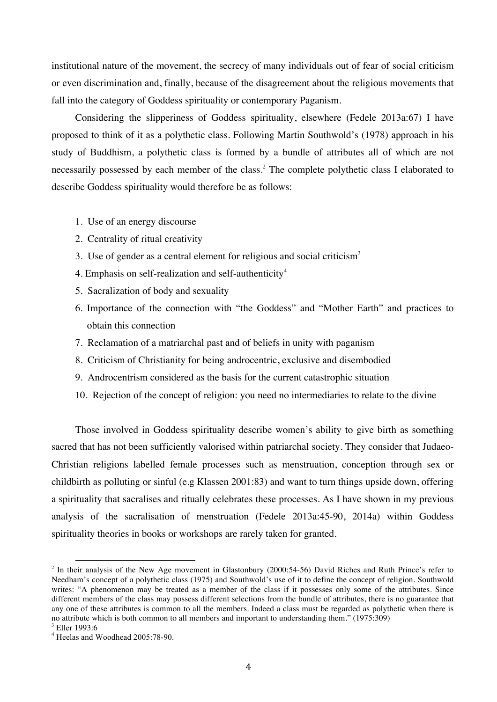institutional nature of the movement, the secrecy of many individuals out of fear of social criticism or even discrimination and, finally, because of the disagreement about the religious movements that fall into the category of Goddess spirituality or contemporary Paganism.

Considering the slipperiness of Goddess spirituality, elsewhere (Fedele 2013a:67) I have proposed to think of it as a polythetic class. Following Martin Southwold's (1978) approach in his study of Buddhism, a polythetic class is formed by a bundle of attributes all of which are not necessarily possessed by each member of the class.<sup>2</sup> The complete polythetic class I elaborated to describe Goddess spirituality would therefore be as follows:

- 1. Use of an energy discourse
- 2. Centrality of ritual creativity
- 3. Use of gender as a central element for religious and social criticism<sup>3</sup>
- 4. Emphasis on self-realization and self-authenticity<sup>4</sup>
- 5. Sacralization of body and sexuality
- 6. Importance of the connection with "the Goddess" and "Mother Earth" and practices to obtain this connection
- 7. Reclamation of a matriarchal past and of beliefs in unity with paganism
- 8. Criticism of Christianity for being androcentric, exclusive and disembodied
- 9. Androcentrism considered as the basis for the current catastrophic situation
- 10. Rejection of the concept of religion: you need no intermediaries to relate to the divine

Those involved in Goddess spirituality describe women's ability to give birth as something sacred that has not been sufficiently valorised within patriarchal society. They consider that Judaeo-Christian religions labelled female processes such as menstruation, conception through sex or childbirth as polluting or sinful (e.g Klassen 2001:83) and want to turn things upside down, offering a spirituality that sacralises and ritually celebrates these processes. As I have shown in my previous analysis of the sacralisation of menstruation (Fedele 2013a:45-90, 2014a) within Goddess spirituality theories in books or workshops are rarely taken for granted.

 $2$  In their analysis of the New Age movement in Glastonbury (2000:54-56) David Riches and Ruth Prince's refer to Needham's concept of a polythetic class (1975) and Southwold's use of it to define the concept of religion. Southwold writes: "A phenomenon may be treated as a member of the class if it possesses only some of the attributes. Since different members of the class may possess different selections from the bundle of attributes, there is no guarantee that any one of these attributes is common to all the members. Indeed a class must be regarded as polythetic when there is no attribute which is both common to all members and important to understanding them." (1975:309)

<sup>3</sup> Eller 1993:6

<sup>4</sup> Heelas and Woodhead 2005:78-90.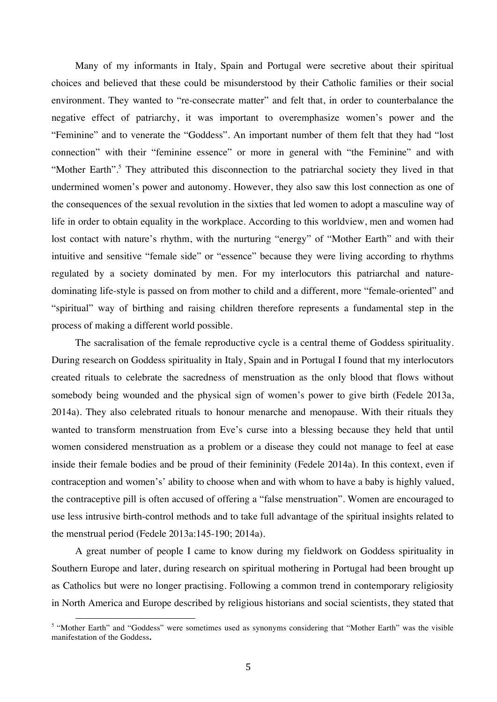Many of my informants in Italy, Spain and Portugal were secretive about their spiritual choices and believed that these could be misunderstood by their Catholic families or their social environment. They wanted to "re-consecrate matter" and felt that, in order to counterbalance the negative effect of patriarchy, it was important to overemphasize women's power and the "Feminine" and to venerate the "Goddess". An important number of them felt that they had "lost connection" with their "feminine essence" or more in general with "the Feminine" and with "Mother Earth".<sup>5</sup> They attributed this disconnection to the patriarchal society they lived in that undermined women's power and autonomy. However, they also saw this lost connection as one of the consequences of the sexual revolution in the sixties that led women to adopt a masculine way of life in order to obtain equality in the workplace. According to this worldview, men and women had lost contact with nature's rhythm, with the nurturing "energy" of "Mother Earth" and with their intuitive and sensitive "female side" or "essence" because they were living according to rhythms regulated by a society dominated by men. For my interlocutors this patriarchal and naturedominating life-style is passed on from mother to child and a different, more "female-oriented" and "spiritual" way of birthing and raising children therefore represents a fundamental step in the process of making a different world possible.

The sacralisation of the female reproductive cycle is a central theme of Goddess spirituality. During research on Goddess spirituality in Italy, Spain and in Portugal I found that my interlocutors created rituals to celebrate the sacredness of menstruation as the only blood that flows without somebody being wounded and the physical sign of women's power to give birth (Fedele 2013a, 2014a). They also celebrated rituals to honour menarche and menopause. With their rituals they wanted to transform menstruation from Eve's curse into a blessing because they held that until women considered menstruation as a problem or a disease they could not manage to feel at ease inside their female bodies and be proud of their femininity (Fedele 2014a). In this context, even if contraception and women's' ability to choose when and with whom to have a baby is highly valued, the contraceptive pill is often accused of offering a "false menstruation". Women are encouraged to use less intrusive birth-control methods and to take full advantage of the spiritual insights related to the menstrual period (Fedele 2013a:145-190; 2014a).

A great number of people I came to know during my fieldwork on Goddess spirituality in Southern Europe and later, during research on spiritual mothering in Portugal had been brought up as Catholics but were no longer practising. Following a common trend in contemporary religiosity in North America and Europe described by religious historians and social scientists, they stated that

<sup>&</sup>lt;sup>5</sup> "Mother Earth" and "Goddess" were sometimes used as synonyms considering that "Mother Earth" was the visible manifestation of the Goddess**.**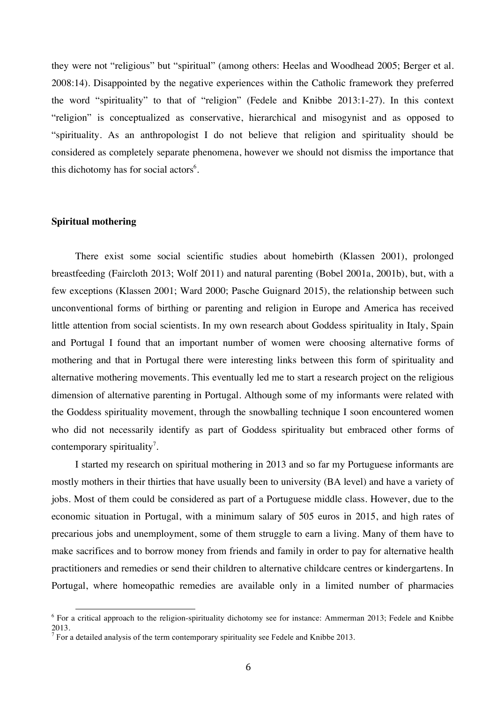they were not "religious" but "spiritual" (among others: Heelas and Woodhead 2005; Berger et al. 2008:14). Disappointed by the negative experiences within the Catholic framework they preferred the word "spirituality" to that of "religion" (Fedele and Knibbe 2013:1-27). In this context "religion" is conceptualized as conservative, hierarchical and misogynist and as opposed to "spirituality. As an anthropologist I do not believe that religion and spirituality should be considered as completely separate phenomena, however we should not dismiss the importance that this dichotomy has for social actors<sup>6</sup>.

#### **Spiritual mothering**

There exist some social scientific studies about homebirth (Klassen 2001), prolonged breastfeeding (Faircloth 2013; Wolf 2011) and natural parenting (Bobel 2001a, 2001b), but, with a few exceptions (Klassen 2001; Ward 2000; Pasche Guignard 2015), the relationship between such unconventional forms of birthing or parenting and religion in Europe and America has received little attention from social scientists. In my own research about Goddess spirituality in Italy, Spain and Portugal I found that an important number of women were choosing alternative forms of mothering and that in Portugal there were interesting links between this form of spirituality and alternative mothering movements. This eventually led me to start a research project on the religious dimension of alternative parenting in Portugal. Although some of my informants were related with the Goddess spirituality movement, through the snowballing technique I soon encountered women who did not necessarily identify as part of Goddess spirituality but embraced other forms of contemporary spirituality<sup>7</sup>.

I started my research on spiritual mothering in 2013 and so far my Portuguese informants are mostly mothers in their thirties that have usually been to university (BA level) and have a variety of jobs. Most of them could be considered as part of a Portuguese middle class. However, due to the economic situation in Portugal, with a minimum salary of 505 euros in 2015, and high rates of precarious jobs and unemployment, some of them struggle to earn a living. Many of them have to make sacrifices and to borrow money from friends and family in order to pay for alternative health practitioners and remedies or send their children to alternative childcare centres or kindergartens. In Portugal, where homeopathic remedies are available only in a limited number of pharmacies

<sup>&</sup>lt;sup>6</sup> For a critical approach to the religion-spirituality dichotomy see for instance: Ammerman 2013; Fedele and Knibbe 2013.

 $<sup>7</sup>$  For a detailed analysis of the term contemporary spirituality see Fedele and Knibbe 2013.</sup>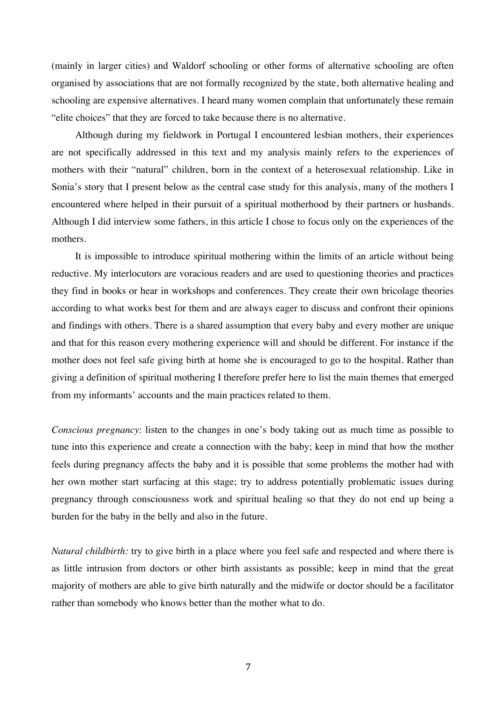(mainly in larger cities) and Waldorf schooling or other forms of alternative schooling are often organised by associations that are not formally recognized by the state, both alternative healing and schooling are expensive alternatives. I heard many women complain that unfortunately these remain "elite choices" that they are forced to take because there is no alternative.

Although during my fieldwork in Portugal I encountered lesbian mothers, their experiences are not specifically addressed in this text and my analysis mainly refers to the experiences of mothers with their "natural" children, born in the context of a heterosexual relationship. Like in Sonia's story that I present below as the central case study for this analysis, many of the mothers I encountered where helped in their pursuit of a spiritual motherhood by their partners or husbands. Although I did interview some fathers, in this article I chose to focus only on the experiences of the mothers.

It is impossible to introduce spiritual mothering within the limits of an article without being reductive. My interlocutors are voracious readers and are used to questioning theories and practices they find in books or hear in workshops and conferences. They create their own bricolage theories according to what works best for them and are always eager to discuss and confront their opinions and findings with others. There is a shared assumption that every baby and every mother are unique and that for this reason every mothering experience will and should be different. For instance if the mother does not feel safe giving birth at home she is encouraged to go to the hospital. Rather than giving a definition of spiritual mothering I therefore prefer here to list the main themes that emerged from my informants' accounts and the main practices related to them.

*Conscious pregnancy*: listen to the changes in one's body taking out as much time as possible to tune into this experience and create a connection with the baby; keep in mind that how the mother feels during pregnancy affects the baby and it is possible that some problems the mother had with her own mother start surfacing at this stage; try to address potentially problematic issues during pregnancy through consciousness work and spiritual healing so that they do not end up being a burden for the baby in the belly and also in the future.

*Natural childbirth:* try to give birth in a place where you feel safe and respected and where there is as little intrusion from doctors or other birth assistants as possible; keep in mind that the great majority of mothers are able to give birth naturally and the midwife or doctor should be a facilitator rather than somebody who knows better than the mother what to do.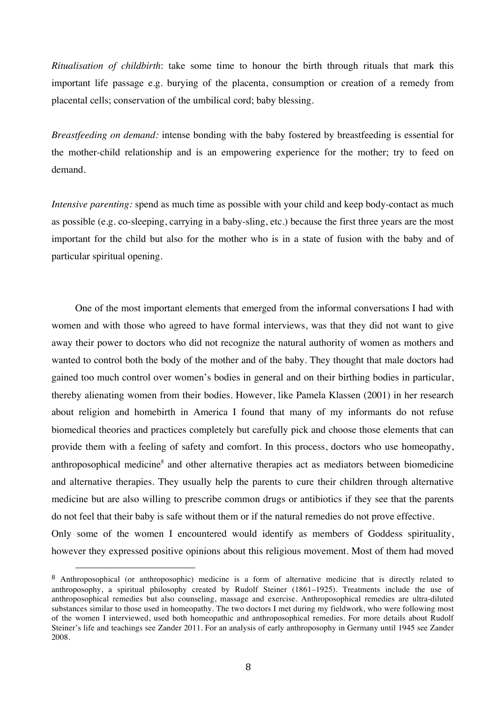*Ritualisation of childbirth*: take some time to honour the birth through rituals that mark this important life passage e.g. burying of the placenta, consumption or creation of a remedy from placental cells; conservation of the umbilical cord; baby blessing.

*Breastfeeding on demand:* intense bonding with the baby fostered by breastfeeding is essential for the mother-child relationship and is an empowering experience for the mother; try to feed on demand.

*Intensive parenting:* spend as much time as possible with your child and keep body-contact as much as possible (e.g. co-sleeping, carrying in a baby-sling, etc.) because the first three years are the most important for the child but also for the mother who is in a state of fusion with the baby and of particular spiritual opening.

One of the most important elements that emerged from the informal conversations I had with women and with those who agreed to have formal interviews, was that they did not want to give away their power to doctors who did not recognize the natural authority of women as mothers and wanted to control both the body of the mother and of the baby. They thought that male doctors had gained too much control over women's bodies in general and on their birthing bodies in particular, thereby alienating women from their bodies. However, like Pamela Klassen (2001) in her research about religion and homebirth in America I found that many of my informants do not refuse biomedical theories and practices completely but carefully pick and choose those elements that can provide them with a feeling of safety and comfort. In this process, doctors who use homeopathy, anthroposophical medicine<sup>8</sup> and other alternative therapies act as mediators between biomedicine and alternative therapies. They usually help the parents to cure their children through alternative medicine but are also willing to prescribe common drugs or antibiotics if they see that the parents do not feel that their baby is safe without them or if the natural remedies do not prove effective.

Only some of the women I encountered would identify as members of Goddess spirituality, however they expressed positive opinions about this religious movement. Most of them had moved

<sup>8</sup> Anthroposophical (or anthroposophic) medicine is a form of alternative medicine that is directly related to anthroposophy, a spiritual philosophy created by Rudolf Steiner (1861–1925). Treatments include the use of anthroposophical remedies but also counseling, massage and exercise. Anthroposophical remedies are ultra-diluted substances similar to those used in homeopathy. The two doctors I met during my fieldwork, who were following most of the women I interviewed, used both homeopathic and anthroposophical remedies. For more details about Rudolf Steiner's life and teachings see Zander 2011. For an analysis of early anthroposophy in Germany until 1945 see Zander 2008.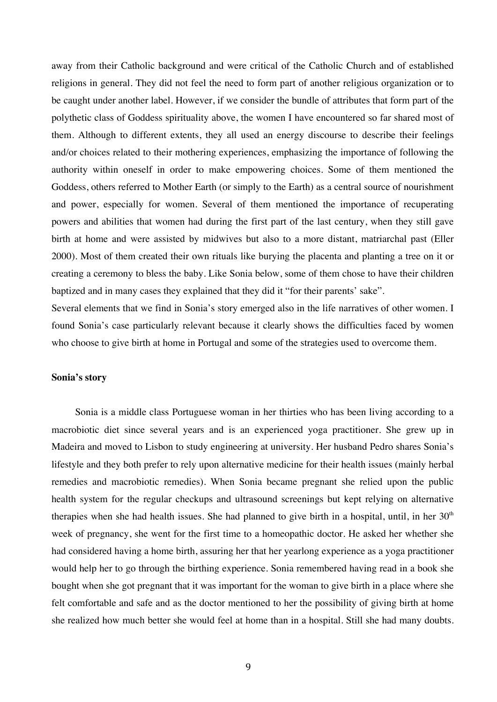away from their Catholic background and were critical of the Catholic Church and of established religions in general. They did not feel the need to form part of another religious organization or to be caught under another label. However, if we consider the bundle of attributes that form part of the polythetic class of Goddess spirituality above, the women I have encountered so far shared most of them. Although to different extents, they all used an energy discourse to describe their feelings and/or choices related to their mothering experiences, emphasizing the importance of following the authority within oneself in order to make empowering choices. Some of them mentioned the Goddess, others referred to Mother Earth (or simply to the Earth) as a central source of nourishment and power, especially for women. Several of them mentioned the importance of recuperating powers and abilities that women had during the first part of the last century, when they still gave birth at home and were assisted by midwives but also to a more distant, matriarchal past (Eller 2000). Most of them created their own rituals like burying the placenta and planting a tree on it or creating a ceremony to bless the baby. Like Sonia below, some of them chose to have their children baptized and in many cases they explained that they did it "for their parents' sake".

Several elements that we find in Sonia's story emerged also in the life narratives of other women. I found Sonia's case particularly relevant because it clearly shows the difficulties faced by women who choose to give birth at home in Portugal and some of the strategies used to overcome them.

#### **Sonia's story**

Sonia is a middle class Portuguese woman in her thirties who has been living according to a macrobiotic diet since several years and is an experienced yoga practitioner. She grew up in Madeira and moved to Lisbon to study engineering at university. Her husband Pedro shares Sonia's lifestyle and they both prefer to rely upon alternative medicine for their health issues (mainly herbal remedies and macrobiotic remedies). When Sonia became pregnant she relied upon the public health system for the regular checkups and ultrasound screenings but kept relying on alternative therapies when she had health issues. She had planned to give birth in a hospital, until, in her  $30<sup>th</sup>$ week of pregnancy, she went for the first time to a homeopathic doctor. He asked her whether she had considered having a home birth, assuring her that her yearlong experience as a yoga practitioner would help her to go through the birthing experience. Sonia remembered having read in a book she bought when she got pregnant that it was important for the woman to give birth in a place where she felt comfortable and safe and as the doctor mentioned to her the possibility of giving birth at home she realized how much better she would feel at home than in a hospital. Still she had many doubts.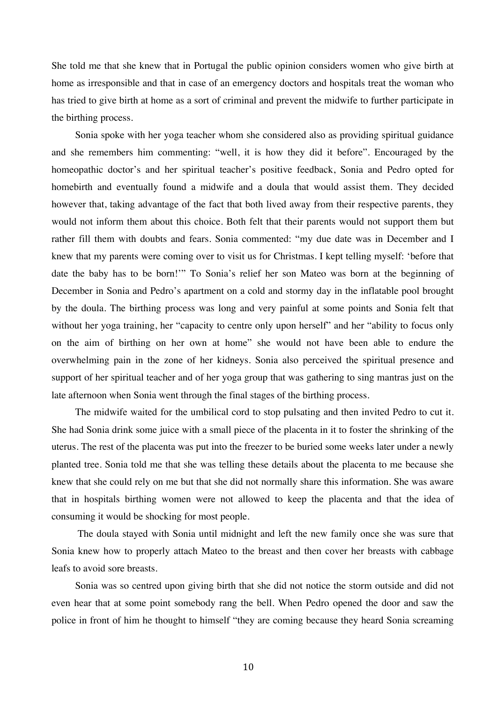She told me that she knew that in Portugal the public opinion considers women who give birth at home as irresponsible and that in case of an emergency doctors and hospitals treat the woman who has tried to give birth at home as a sort of criminal and prevent the midwife to further participate in the birthing process.

Sonia spoke with her yoga teacher whom she considered also as providing spiritual guidance and she remembers him commenting: "well, it is how they did it before". Encouraged by the homeopathic doctor's and her spiritual teacher's positive feedback, Sonia and Pedro opted for homebirth and eventually found a midwife and a doula that would assist them. They decided however that, taking advantage of the fact that both lived away from their respective parents, they would not inform them about this choice. Both felt that their parents would not support them but rather fill them with doubts and fears. Sonia commented: "my due date was in December and I knew that my parents were coming over to visit us for Christmas. I kept telling myself: 'before that date the baby has to be born!'" To Sonia's relief her son Mateo was born at the beginning of December in Sonia and Pedro's apartment on a cold and stormy day in the inflatable pool brought by the doula. The birthing process was long and very painful at some points and Sonia felt that without her yoga training, her "capacity to centre only upon herself" and her "ability to focus only on the aim of birthing on her own at home" she would not have been able to endure the overwhelming pain in the zone of her kidneys. Sonia also perceived the spiritual presence and support of her spiritual teacher and of her yoga group that was gathering to sing mantras just on the late afternoon when Sonia went through the final stages of the birthing process.

The midwife waited for the umbilical cord to stop pulsating and then invited Pedro to cut it. She had Sonia drink some juice with a small piece of the placenta in it to foster the shrinking of the uterus. The rest of the placenta was put into the freezer to be buried some weeks later under a newly planted tree. Sonia told me that she was telling these details about the placenta to me because she knew that she could rely on me but that she did not normally share this information. She was aware that in hospitals birthing women were not allowed to keep the placenta and that the idea of consuming it would be shocking for most people.

 The doula stayed with Sonia until midnight and left the new family once she was sure that Sonia knew how to properly attach Mateo to the breast and then cover her breasts with cabbage leafs to avoid sore breasts.

Sonia was so centred upon giving birth that she did not notice the storm outside and did not even hear that at some point somebody rang the bell. When Pedro opened the door and saw the police in front of him he thought to himself "they are coming because they heard Sonia screaming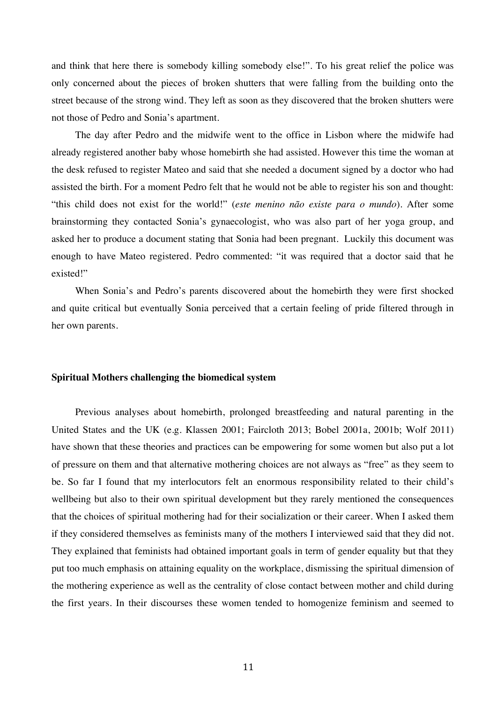and think that here there is somebody killing somebody else!". To his great relief the police was only concerned about the pieces of broken shutters that were falling from the building onto the street because of the strong wind. They left as soon as they discovered that the broken shutters were not those of Pedro and Sonia's apartment.

The day after Pedro and the midwife went to the office in Lisbon where the midwife had already registered another baby whose homebirth she had assisted. However this time the woman at the desk refused to register Mateo and said that she needed a document signed by a doctor who had assisted the birth. For a moment Pedro felt that he would not be able to register his son and thought: "this child does not exist for the world!" (*este menino não existe para o mundo*). After some brainstorming they contacted Sonia's gynaecologist, who was also part of her yoga group, and asked her to produce a document stating that Sonia had been pregnant. Luckily this document was enough to have Mateo registered. Pedro commented: "it was required that a doctor said that he existed!"

When Sonia's and Pedro's parents discovered about the homebirth they were first shocked and quite critical but eventually Sonia perceived that a certain feeling of pride filtered through in her own parents.

#### **Spiritual Mothers challenging the biomedical system**

Previous analyses about homebirth, prolonged breastfeeding and natural parenting in the United States and the UK (e.g. Klassen 2001; Faircloth 2013; Bobel 2001a, 2001b; Wolf 2011) have shown that these theories and practices can be empowering for some women but also put a lot of pressure on them and that alternative mothering choices are not always as "free" as they seem to be. So far I found that my interlocutors felt an enormous responsibility related to their child's wellbeing but also to their own spiritual development but they rarely mentioned the consequences that the choices of spiritual mothering had for their socialization or their career. When I asked them if they considered themselves as feminists many of the mothers I interviewed said that they did not. They explained that feminists had obtained important goals in term of gender equality but that they put too much emphasis on attaining equality on the workplace, dismissing the spiritual dimension of the mothering experience as well as the centrality of close contact between mother and child during the first years. In their discourses these women tended to homogenize feminism and seemed to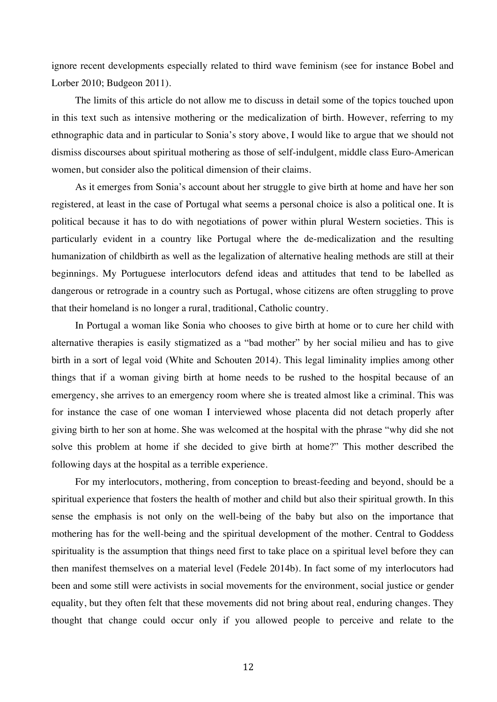ignore recent developments especially related to third wave feminism (see for instance Bobel and Lorber 2010; Budgeon 2011).

The limits of this article do not allow me to discuss in detail some of the topics touched upon in this text such as intensive mothering or the medicalization of birth. However, referring to my ethnographic data and in particular to Sonia's story above, I would like to argue that we should not dismiss discourses about spiritual mothering as those of self-indulgent, middle class Euro-American women, but consider also the political dimension of their claims.

As it emerges from Sonia's account about her struggle to give birth at home and have her son registered, at least in the case of Portugal what seems a personal choice is also a political one. It is political because it has to do with negotiations of power within plural Western societies. This is particularly evident in a country like Portugal where the de-medicalization and the resulting humanization of childbirth as well as the legalization of alternative healing methods are still at their beginnings. My Portuguese interlocutors defend ideas and attitudes that tend to be labelled as dangerous or retrograde in a country such as Portugal, whose citizens are often struggling to prove that their homeland is no longer a rural, traditional, Catholic country.

In Portugal a woman like Sonia who chooses to give birth at home or to cure her child with alternative therapies is easily stigmatized as a "bad mother" by her social milieu and has to give birth in a sort of legal void (White and Schouten 2014). This legal liminality implies among other things that if a woman giving birth at home needs to be rushed to the hospital because of an emergency, she arrives to an emergency room where she is treated almost like a criminal. This was for instance the case of one woman I interviewed whose placenta did not detach properly after giving birth to her son at home. She was welcomed at the hospital with the phrase "why did she not solve this problem at home if she decided to give birth at home?" This mother described the following days at the hospital as a terrible experience.

For my interlocutors, mothering, from conception to breast-feeding and beyond, should be a spiritual experience that fosters the health of mother and child but also their spiritual growth. In this sense the emphasis is not only on the well-being of the baby but also on the importance that mothering has for the well-being and the spiritual development of the mother. Central to Goddess spirituality is the assumption that things need first to take place on a spiritual level before they can then manifest themselves on a material level (Fedele 2014b). In fact some of my interlocutors had been and some still were activists in social movements for the environment, social justice or gender equality, but they often felt that these movements did not bring about real, enduring changes. They thought that change could occur only if you allowed people to perceive and relate to the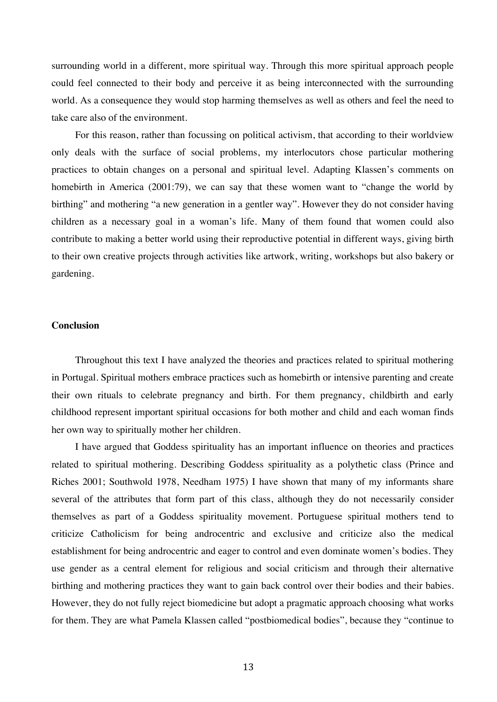surrounding world in a different, more spiritual way. Through this more spiritual approach people could feel connected to their body and perceive it as being interconnected with the surrounding world. As a consequence they would stop harming themselves as well as others and feel the need to take care also of the environment.

For this reason, rather than focussing on political activism, that according to their worldview only deals with the surface of social problems, my interlocutors chose particular mothering practices to obtain changes on a personal and spiritual level. Adapting Klassen's comments on homebirth in America (2001:79), we can say that these women want to "change the world by birthing" and mothering "a new generation in a gentler way". However they do not consider having children as a necessary goal in a woman's life. Many of them found that women could also contribute to making a better world using their reproductive potential in different ways, giving birth to their own creative projects through activities like artwork, writing, workshops but also bakery or gardening.

### **Conclusion**

Throughout this text I have analyzed the theories and practices related to spiritual mothering in Portugal. Spiritual mothers embrace practices such as homebirth or intensive parenting and create their own rituals to celebrate pregnancy and birth. For them pregnancy, childbirth and early childhood represent important spiritual occasions for both mother and child and each woman finds her own way to spiritually mother her children.

I have argued that Goddess spirituality has an important influence on theories and practices related to spiritual mothering. Describing Goddess spirituality as a polythetic class (Prince and Riches 2001; Southwold 1978, Needham 1975) I have shown that many of my informants share several of the attributes that form part of this class, although they do not necessarily consider themselves as part of a Goddess spirituality movement. Portuguese spiritual mothers tend to criticize Catholicism for being androcentric and exclusive and criticize also the medical establishment for being androcentric and eager to control and even dominate women's bodies. They use gender as a central element for religious and social criticism and through their alternative birthing and mothering practices they want to gain back control over their bodies and their babies. However, they do not fully reject biomedicine but adopt a pragmatic approach choosing what works for them. They are what Pamela Klassen called "postbiomedical bodies", because they "continue to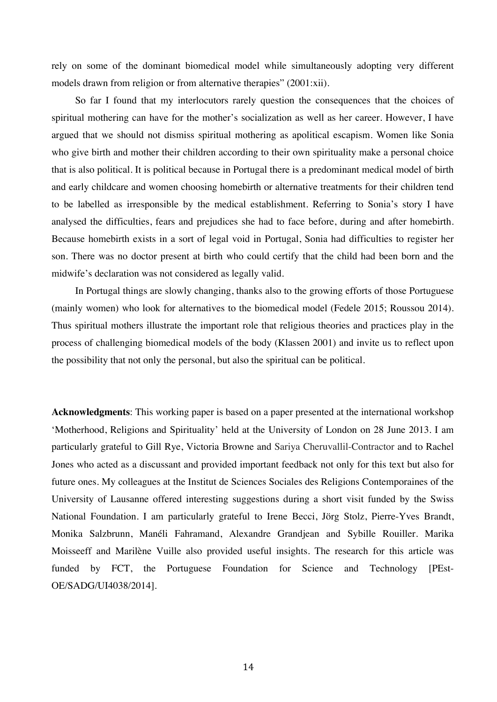rely on some of the dominant biomedical model while simultaneously adopting very different models drawn from religion or from alternative therapies" (2001:xii).

So far I found that my interlocutors rarely question the consequences that the choices of spiritual mothering can have for the mother's socialization as well as her career. However, I have argued that we should not dismiss spiritual mothering as apolitical escapism. Women like Sonia who give birth and mother their children according to their own spirituality make a personal choice that is also political. It is political because in Portugal there is a predominant medical model of birth and early childcare and women choosing homebirth or alternative treatments for their children tend to be labelled as irresponsible by the medical establishment. Referring to Sonia's story I have analysed the difficulties, fears and prejudices she had to face before, during and after homebirth. Because homebirth exists in a sort of legal void in Portugal, Sonia had difficulties to register her son. There was no doctor present at birth who could certify that the child had been born and the midwife's declaration was not considered as legally valid.

In Portugal things are slowly changing, thanks also to the growing efforts of those Portuguese (mainly women) who look for alternatives to the biomedical model (Fedele 2015; Roussou 2014). Thus spiritual mothers illustrate the important role that religious theories and practices play in the process of challenging biomedical models of the body (Klassen 2001) and invite us to reflect upon the possibility that not only the personal, but also the spiritual can be political.

**Acknowledgments**: This working paper is based on a paper presented at the international workshop 'Motherhood, Religions and Spirituality' held at the University of London on 28 June 2013. I am particularly grateful to Gill Rye, Victoria Browne and Sariya Cheruvallil-Contractor and to Rachel Jones who acted as a discussant and provided important feedback not only for this text but also for future ones. My colleagues at the Institut de Sciences Sociales des Religions Contemporaines of the University of Lausanne offered interesting suggestions during a short visit funded by the Swiss National Foundation. I am particularly grateful to Irene Becci, Jörg Stolz, Pierre-Yves Brandt, Monika Salzbrunn, Manéli Fahramand, Alexandre Grandjean and Sybille Rouiller. Marika Moisseeff and Marilène Vuille also provided useful insights. The research for this article was funded by FCT, the Portuguese Foundation for Science and Technology [PEst-OE/SADG/UI4038/2014].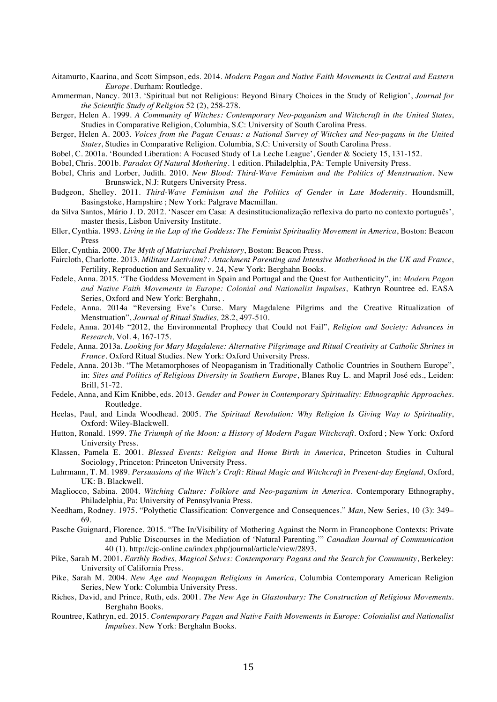- Aitamurto, Kaarina, and Scott Simpson, eds. 2014. *Modern Pagan and Native Faith Movements in Central and Eastern Europe*. Durham: Routledge.
- Ammerman, Nancy. 2013. 'Spiritual but not Religious: Beyond Binary Choices in the Study of Religion', *Journal for the Scientific Study of Religion* 52 (2), 258-278.
- Berger, Helen A. 1999. *A Community of Witches: Contemporary Neo-paganism and Witchcraft in the United States*, Studies in Comparative Religion, Columbia, S.C: University of South Carolina Press.
- Berger, Helen A. 2003. *Voices from the Pagan Census: a National Survey of Witches and Neo-pagans in the United States*, Studies in Comparative Religion. Columbia, S.C: University of South Carolina Press.
- Bobel, C. 2001a. 'Bounded Liberation: A Focused Study of La Leche League', Gender & Society 15, 131-152.
- Bobel, Chris. 2001b. *Paradox Of Natural Mothering*. 1 edition. Philadelphia, PA: Temple University Press.
- Bobel, Chris and Lorber, Judith. 2010. *New Blood: Third-Wave Feminism and the Politics of Menstruation*. New Brunswick, N.J: Rutgers University Press.
- Budgeon, Shelley. 2011. *Third-Wave Feminism and the Politics of Gender in Late Modernity*. Houndsmill, Basingstoke, Hampshire ; New York: Palgrave Macmillan.
- da Silva Santos, Mário J. D. 2012. 'Nascer em Casa: A desinstitucionalização reflexiva do parto no contexto português', master thesis, Lisbon University Institute.
- Eller, Cynthia. 1993. *Living in the Lap of the Goddess: The Feminist Spirituality Movement in America*, Boston: Beacon Press
- Eller, Cynthia. 2000. *The Myth of Matriarchal Prehistory*, Boston: Beacon Press.
- Faircloth, Charlotte. 2013. *Militant Lactivism?: Attachment Parenting and Intensive Motherhood in the UK and France*, Fertility, Reproduction and Sexuality v. 24, New York: Berghahn Books.
- Fedele, Anna. 2015. "The Goddess Movement in Spain and Portugal and the Quest for Authenticity", in: *Modern Pagan and Native Faith Movements in Europe: Colonial and Nationalist Impulses*, Kathryn Rountree ed. EASA Series, Oxford and New York: Berghahn, .
- Fedele, Anna. 2014a "Reversing Eve's Curse. Mary Magdalene Pilgrims and the Creative Ritualization of Menstruation", *Journal of Ritual Studies,* 28.2, 497-510.
- Fedele, Anna. 2014b "2012, the Environmental Prophecy that Could not Fail", *Religion and Society: Advances in Research,* Vol. 4, 167-175.
- Fedele, Anna. 2013a. *Looking for Mary Magdalene: Alternative Pilgrimage and Ritual Creativity at Catholic Shrines in France*. Oxford Ritual Studies. New York: Oxford University Press.
- Fedele, Anna. 2013b. "The Metamorphoses of Neopaganism in Traditionally Catholic Countries in Southern Europe", in: *Sites and Politics of Religious Diversity in Southern Europe*, Blanes Ruy L. and Mapril José eds., Leiden: Brill, 51-72.
- Fedele, Anna, and Kim Knibbe, eds. 2013. *Gender and Power in Contemporary Spirituality: Ethnographic Approaches*. Routledge.
- Heelas, Paul, and Linda Woodhead. 2005. *The Spiritual Revolution: Why Religion Is Giving Way to Spirituality*, Oxford: Wiley-Blackwell.
- Hutton, Ronald. 1999. *The Triumph of the Moon: a History of Modern Pagan Witchcraft*. Oxford ; New York: Oxford University Press.
- Klassen, Pamela E. 2001. *Blessed Events: Religion and Home Birth in America*, Princeton Studies in Cultural Sociology, Princeton: Princeton University Press.
- Luhrmann, T. M. 1989. *Persuasions of the Witch's Craft: Ritual Magic and Witchcraft in Present-day England*, Oxford, UK: B. Blackwell.
- Magliocco, Sabina. 2004. *Witching Culture: Folklore and Neo-paganism in America*. Contemporary Ethnography, Philadelphia, Pa: University of Pennsylvania Press.
- Needham, Rodney. 1975. "Polythetic Classification: Convergence and Consequences." *Man*, New Series, 10 (3): 349– 69.
- Pasche Guignard, Florence. 2015. "The In/Visibility of Mothering Against the Norm in Francophone Contexts: Private and Public Discourses in the Mediation of 'Natural Parenting.'" *Canadian Journal of Communication* 40 (1). http://cjc-online.ca/index.php/journal/article/view/2893.
- Pike, Sarah M. 2001. *Earthly Bodies, Magical Selves: Contemporary Pagans and the Search for Community*, Berkeley: University of California Press.
- Pike, Sarah M. 2004. *New Age and Neopagan Religions in America*, Columbia Contemporary American Religion Series, New York: Columbia University Press.
- Riches, David, and Prince, Ruth, eds. 2001. *The New Age in Glastonbury: The Construction of Religious Movements*. Berghahn Books.
- Rountree, Kathryn, ed. 2015. *Contemporary Pagan and Native Faith Movements in Europe: Colonialist and Nationalist Impulses*. New York: Berghahn Books.